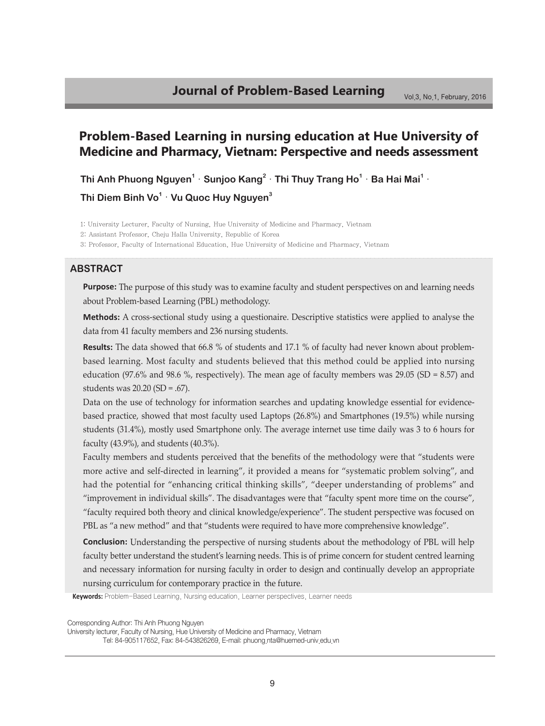# **Problem-Based Learning in nursing education at Hue University of Medicine and Pharmacy, Vietnam: Perspective and needs assessment**

**Thi Anh Phuong Nguyen<sup>1</sup>** ·**Sunjoo Kang<sup>2</sup>** ·**Thi Thuy Trang Ho<sup>1</sup>** ·**Ba Hai Mai<sup>1</sup>** · **Thi Diem Binh Vo1** ·**Vu Quoc Huy Nguyen<sup>3</sup>**

1: University Lecturer, Faculty of Nursing, Hue University of Medicine and Pharmacy, Vietnam

2: Assistant Professor, Cheju Halla University, Republic of Korea

3: Professor, Faculty of International Education, Hue University of Medicine and Pharmacy, Vietnam

### **Abstract**

**Purpose:** The purpose of this study was to examine faculty and student perspectives on and learning needs about Problem-based Learning (PBL) methodology.

**Methods:** A cross-sectional study using a questionaire. Descriptive statistics were applied to analyse the data from 41 faculty members and 236 nursing students.

**Results:** The data showed that 66.8 % of students and 17.1 % of faculty had never known about problembased learning. Most faculty and students believed that this method could be applied into nursing education (97.6% and 98.6 %, respectively). The mean age of faculty members was  $29.05$  (SD = 8.57) and students was 20.20 (SD = .67).

Data on the use of technology for information searches and updating knowledge essential for evidencebased practice, showed that most faculty used Laptops (26.8%) and Smartphones (19.5%) while nursing students (31.4%), mostly used Smartphone only. The average internet use time daily was 3 to 6 hours for faculty (43.9%), and students (40.3%).

Faculty members and students perceived that the benefits of the methodology were that "students were more active and self-directed in learning", it provided a means for "systematic problem solving", and had the potential for "enhancing critical thinking skills", "deeper understanding of problems" and "improvement in individual skills". The disadvantages were that "faculty spent more time on the course", "faculty required both theory and clinical knowledge/experience". The student perspective was focused on PBL as "a new method" and that "students were required to have more comprehensive knowledge".

**Conclusion:** Understanding the perspective of nursing students about the methodology of PBL will help faculty better understand the student's learning needs. This is of prime concern for student centred learning and necessary information for nursing faculty in order to design and continually develop an appropriate nursing curriculum for contemporary practice in the future.

**Keywords:** Problem-Based Learning, Nursing education, Learner perspectives, Learner needs

Corresponding Author: Thi Anh Phuong Nguyen

University lecturer, Faculty of Nursing, Hue University of Medicine and Pharmacy, Vietnam

Tel: 84-905117652, Fax: 84-543826269, E-mail: phuong.nta@huemed-univ.edu.vn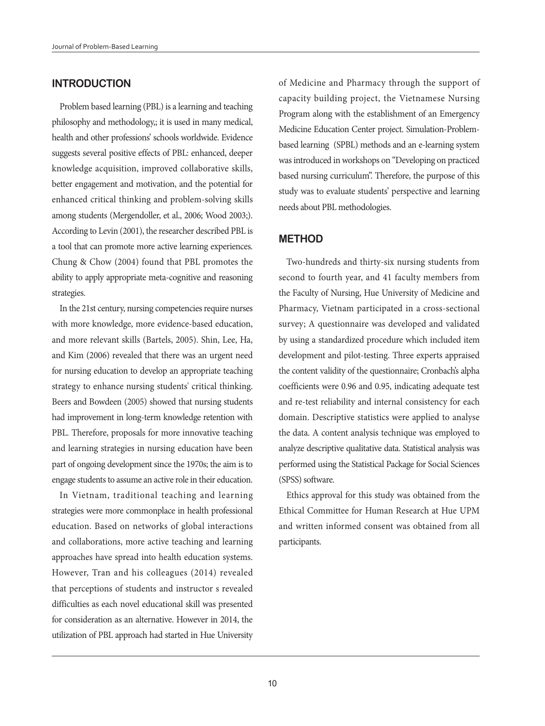# **INTRODUCTION**

Problem based learning (PBL) is a learning and teaching philosophy and methodology,; it is used in many medical, health and other professions' schools worldwide. Evidence suggests several positive effects of PBL: enhanced, deeper knowledge acquisition, improved collaborative skills, better engagement and motivation, and the potential for enhanced critical thinking and problem-solving skills among students (Mergendoller, et al., 2006; Wood 2003;). According to Levin (2001), the researcher described PBL is a tool that can promote more active learning experiences. Chung & Chow (2004) found that PBL promotes the ability to apply appropriate meta-cognitive and reasoning strategies.

In the 21st century, nursing competencies require nurses with more knowledge, more evidence-based education, and more relevant skills (Bartels, 2005). Shin, Lee, Ha, and Kim (2006) revealed that there was an urgent need for nursing education to develop an appropriate teaching strategy to enhance nursing students' critical thinking. Beers and Bowdeen (2005) showed that nursing students had improvement in long-term knowledge retention with PBL. Therefore, proposals for more innovative teaching and learning strategies in nursing education have been part of ongoing development since the 1970s; the aim is to engage students to assume an active role in their education.

In Vietnam, traditional teaching and learning strategies were more commonplace in health professional education. Based on networks of global interactions and collaborations, more active teaching and learning approaches have spread into health education systems. However, Tran and his colleagues (2014) revealed that perceptions of students and instructor s revealed difficulties as each novel educational skill was presented for consideration as an alternative. However in 2014, the utilization of PBL approach had started in Hue University

of Medicine and Pharmacy through the support of capacity building project, the Vietnamese Nursing Program along with the establishment of an Emergency Medicine Education Center project. Simulation-Problembased learning (SPBL) methods and an e-learning system was introduced in workshops on "Developing on practiced based nursing curriculum". Therefore, the purpose of this study was to evaluate students' perspective and learning needs about PBL methodologies.

## **METHOD**

Two-hundreds and thirty-six nursing students from second to fourth year, and 41 faculty members from the Faculty of Nursing, Hue University of Medicine and Pharmacy, Vietnam participated in a cross-sectional survey; A questionnaire was developed and validated by using a standardized procedure which included item development and pilot-testing. Three experts appraised the content validity of the questionnaire; Cronbach's alpha coefficients were 0.96 and 0.95, indicating adequate test and re-test reliability and internal consistency for each domain. Descriptive statistics were applied to analyse the data. A content analysis technique was employed to analyze descriptive qualitative data. Statistical analysis was performed using the Statistical Package for Social Sciences (SPSS) software.

Ethics approval for this study was obtained from the Ethical Committee for Human Research at Hue UPM and written informed consent was obtained from all participants.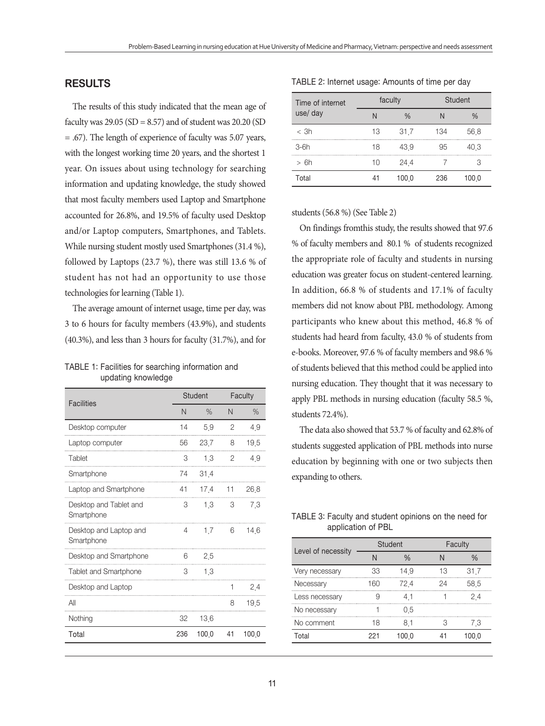# **RESULTS**

The results of this study indicated that the mean age of faculty was  $29.05$  (SD = 8.57) and of student was  $20.20$  (SD = .67). The length of experience of faculty was 5.07 years, with the longest working time 20 years, and the shortest 1 year. On issues about using technology for searching information and updating knowledge, the study showed that most faculty members used Laptop and Smartphone accounted for 26.8%, and 19.5% of faculty used Desktop and/or Laptop computers, Smartphones, and Tablets. While nursing student mostly used Smartphones (31.4 %), followed by Laptops (23.7 %), there was still 13.6 % of student has not had an opportunity to use those technologies for learning (Table 1).

The average amount of internet usage, time per day, was 3 to 6 hours for faculty members (43.9%), and students (40.3%), and less than 3 hours for faculty (31.7%), and for

### TABLE 1: Facilities for searching information and updating knowledge

| <b>Facilities</b>                    | <b>Student</b> |         | Faculty |       |
|--------------------------------------|----------------|---------|---------|-------|
|                                      | N              | $\%$    | N       | $\%$  |
| Desktop computer                     | 14             | 5.9     | 2       | 49    |
| Laptop computer                      | 56             | 23.7    | 8       | 195   |
| Tablet                               | 3              | 13      | 2       | 49    |
| Smartphone                           | 74             | 31.4    |         |       |
| Laptop and Smartphone                | 41             | 17.4    | 11      | 26.8  |
| Desktop and Tablet and<br>Smartphone | 3              | $1.3$ 3 |         | 73    |
| Desktop and Laptop and<br>Smartphone | 4              | 17      | 6       | 146   |
| Desktop and Smartphone               | 6              | 25      |         |       |
| <b>Tablet and Smartphone</b>         | 3              | 13      |         |       |
| Desktop and Laptop                   |                |         |         | 24    |
| All                                  |                |         | 8       | 195   |
| Nothing                              | 32             | 13.6    |         |       |
| Total                                | 236            | 100.0   | 41      | 100.0 |

| Time of internet<br>use/ day | faculty |       | Student |      |
|------------------------------|---------|-------|---------|------|
|                              |         |       |         |      |
| $<$ 3h                       | 13      | 317   | 134     | 56 8 |
| $3-6h$                       | 18      | 439   |         | 40 3 |
| > 6h                         | 1 ( )   | 244   |         |      |
| Total                        |         | 100 0 |         |      |

#### TABLE 2: Internet usage: Amounts of time per day

students (56.8 %) (See Table 2)

On findings fromthis study, the results showed that 97.6 % of faculty members and 80.1 % of students recognized the appropriate role of faculty and students in nursing education was greater focus on student-centered learning. In addition, 66.8 % of students and 17.1% of faculty members did not know about PBL methodology. Among participants who knew about this method, 46.8 % of students had heard from faculty, 43.0 % of students from e-books. Moreover, 97.6 % of faculty members and 98.6 % of students believed that this method could be applied into nursing education. They thought that it was necessary to apply PBL methods in nursing education (faculty 58.5 %, students 72.4%).

The data also showed that 53.7 % of faculty and 62.8% of students suggested application of PBL methods into nurse education by beginning with one or two subjects then expanding to others.

TABLE 3: Faculty and student opinions on the need for application of PBL

|                    | Student |       | Faculty |       |
|--------------------|---------|-------|---------|-------|
| Level of necessity |         |       |         |       |
| Very necessary     | 33      | 149   | 13      | 317   |
| Necessary          | 160     | 724   | ノム      | 585   |
| Less necessary     |         | 41    |         | 24    |
| No necessary       |         | 05    |         |       |
| No comment         | 18      | 81    |         | ΄3    |
| Total              |         | 100 0 |         | 100 0 |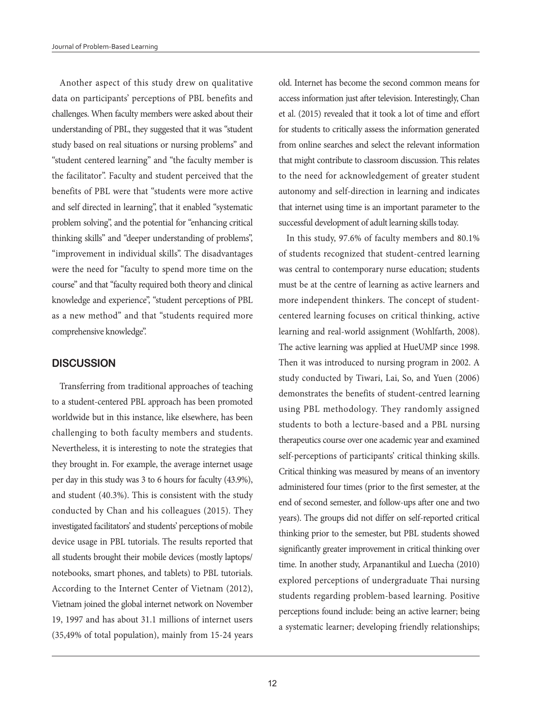Another aspect of this study drew on qualitative data on participants' perceptions of PBL benefits and challenges. When faculty members were asked about their understanding of PBL, they suggested that it was "student study based on real situations or nursing problems" and "student centered learning" and "the faculty member is the facilitator". Faculty and student perceived that the benefits of PBL were that "students were more active and self directed in learning", that it enabled "systematic problem solving", and the potential for "enhancing critical thinking skills" and "deeper understanding of problems", "improvement in individual skills". The disadvantages were the need for "faculty to spend more time on the course" and that "faculty required both theory and clinical knowledge and experience", "student perceptions of PBL as a new method" and that "students required more comprehensive knowledge".

#### **DISCUSSION**

Transferring from traditional approaches of teaching to a student-centered PBL approach has been promoted worldwide but in this instance, like elsewhere, has been challenging to both faculty members and students. Nevertheless, it is interesting to note the strategies that they brought in. For example, the average internet usage per day in this study was 3 to 6 hours for faculty (43.9%), and student (40.3%). This is consistent with the study conducted by Chan and his colleagues (2015). They investigated facilitators' and students' perceptions of mobile device usage in PBL tutorials. The results reported that all students brought their mobile devices (mostly laptops/ notebooks, smart phones, and tablets) to PBL tutorials. According to the Internet Center of Vietnam (2012), Vietnam joined the global internet network on November 19, 1997 and has about 31.1 millions of internet users (35,49% of total population), mainly from 15-24 years

old. Internet has become the second common means for access information just after television. Interestingly, Chan et al. (2015) revealed that it took a lot of time and effort for students to critically assess the information generated from online searches and select the relevant information that might contribute to classroom discussion. This relates to the need for acknowledgement of greater student autonomy and self-direction in learning and indicates that internet using time is an important parameter to the successful development of adult learning skills today.

In this study, 97.6% of faculty members and 80.1% of students recognized that student-centred learning was central to contemporary nurse education; students must be at the centre of learning as active learners and more independent thinkers. The concept of studentcentered learning focuses on critical thinking, active learning and real-world assignment (Wohlfarth, 2008). The active learning was applied at HueUMP since 1998. Then it was introduced to nursing program in 2002. A study conducted by Tiwari, Lai, So, and Yuen (2006) demonstrates the benefits of student-centred learning using PBL methodology. They randomly assigned students to both a lecture-based and a PBL nursing therapeutics course over one academic year and examined self-perceptions of participants' critical thinking skills. Critical thinking was measured by means of an inventory administered four times (prior to the first semester, at the end of second semester, and follow-ups after one and two years). The groups did not differ on self-reported critical thinking prior to the semester, but PBL students showed significantly greater improvement in critical thinking over time. In another study, Arpanantikul and Luecha (2010) explored perceptions of undergraduate Thai nursing students regarding problem-based learning. Positive perceptions found include: being an active learner; being a systematic learner; developing friendly relationships;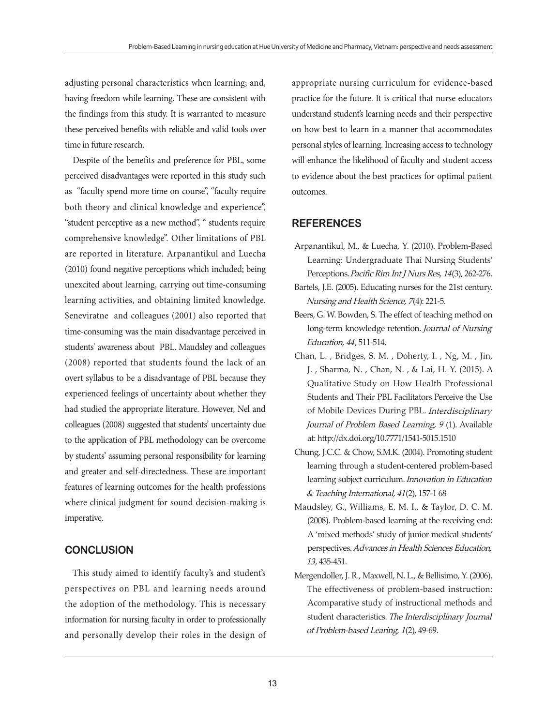adjusting personal characteristics when learning; and, having freedom while learning. These are consistent with the findings from this study. It is warranted to measure these perceived benefits with reliable and valid tools over time in future research.

Despite of the benefits and preference for PBL, some perceived disadvantages were reported in this study such as "faculty spend more time on course", "faculty require both theory and clinical knowledge and experience", "student perceptive as a new method", " students require comprehensive knowledge". Other limitations of PBL are reported in literature. Arpanantikul and Luecha (2010) found negative perceptions which included; being unexcited about learning, carrying out time-consuming learning activities, and obtaining limited knowledge. Seneviratne and colleagues (2001) also reported that time-consuming was the main disadvantage perceived in students' awareness about PBL. Maudsley and colleagues (2008) reported that students found the lack of an overt syllabus to be a disadvantage of PBL because they experienced feelings of uncertainty about whether they had studied the appropriate literature. However, Nel and colleagues (2008) suggested that students' uncertainty due to the application of PBL methodology can be overcome by students' assuming personal responsibility for learning and greater and self-directedness. These are important features of learning outcomes for the health professions where clinical judgment for sound decision-making is imperative.

# **CONCLUSION**

This study aimed to identify faculty's and student's perspectives on PBL and learning needs around the adoption of the methodology. This is necessary information for nursing faculty in order to professionally and personally develop their roles in the design of appropriate nursing curriculum for evidence-based practice for the future. It is critical that nurse educators understand student's learning needs and their perspective on how best to learn in a manner that accommodates personal styles of learning. Increasing access to technology will enhance the likelihood of faculty and student access to evidence about the best practices for optimal patient outcomes.

# **REFERENCES**

- Arpanantikul, M., & Luecha, Y. (2010). Problem-Based Learning: Undergraduate Thai Nursing Students' Perceptions. Pacific Rim Int J Nurs Res, 14(3), 262-276.
- Bartels, J.E. (2005). Educating nurses for the 21st century. Nursing and Health Science, 7(4): 221-5.
- Beers, G. W. Bowden, S. The effect of teaching method on long-term knowledge retention. Journal of Nursing Education, 44, 511-514.
- Chan, L. , Bridges, S. M. , Doherty, I. , Ng, M. , Jin, J. , Sharma, N. , Chan, N. , & Lai, H. Y. (2015). A Qualitative Study on How Health Professional Students and Their PBL Facilitators Perceive the Use of Mobile Devices During PBL. Interdisciplinary Journal of Problem Based Learning, 9 (1). Available at: http://dx.doi.org/10.7771/1541-5015.1510
- Chung, J.C.C. & Chow, S.M.K. (2004). Promoting student learning through a student-centered problem-based learning subject curriculum. Innovation in Education & Teaching International, 41(2), 157-1 68
- Maudsley, G., Williams, E. M. I., & Taylor, D. C. M. (2008). Problem-based learning at the receiving end: A 'mixed methods' study of junior medical students' perspectives. Advances in Health Sciences Education, 13, 435-451.
- Mergendoller, J. R., Maxwell, N. L., & Bellisimo, Y. (2006). The effectiveness of problem-based instruction: Acomparative study of instructional methods and student characteristics. The Interdisciplinary Journal of Problem-based Learing, 1(2), 49-69.